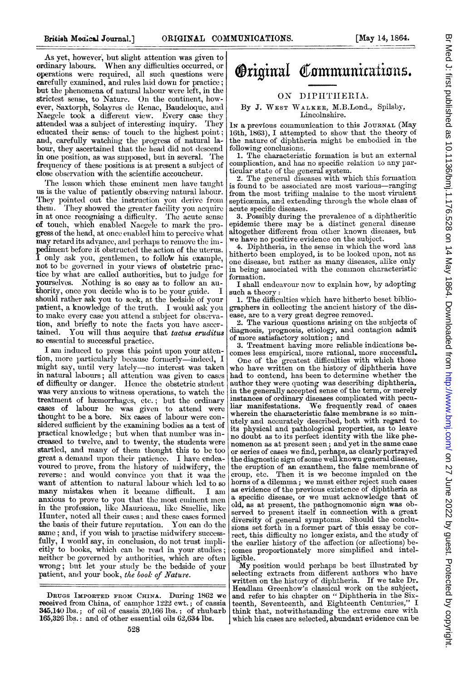As yet, however, but slight attention was given to ordinary labours. When any difficulties occurred, or operations were required, all such questions were carefully examined, and rules laid down for practice; but the phenomena of natural labour were left, in the strictest sense, to Nature. On the continent, however, Saxtorph, Solayres de Renac, Baudeloque, and Naegele took a different view. Every case they attended was a subject of interesting inquiry. They educated their sense of touch to the highest point; and, carefully watching the progress of natural labour, they ascertained that the head did not descend in one position, as was supposed, but in several. The frequency of these positions is at present a subject of close observation with the scientific accoucheur.

The lesson which these eminent men have taught us is the value of patiently observing natural labour. They pointed out the instruction you derive from them. 'They showed the greater facility you acquire in at once recognising a difficulty. The acute sense of touch, which enabled Naegele to mark the progress of the head, at once eniabled him to perceive what may retard its advance, and perhaps to remove the impediment before it obstructed the action of the uterus. 1 only ask you, gentlemen, to follow his example, not to be governed in your views of obstetric practice by what are called authorities, but to judge for yourselves. Nothing is so easy as to follow an authority, once you decide who is to be your guide. I should rather ask you to seek, at the bedside of your patient, a knowledge of the truth. I would ask you to make every case you attend a subject for observation, and briefly to note the facts you have ascertained. You will thus acquire that tactus eruditus so essential to successful practice.

I am induced to press this point upon your attention, more particularly because formerly—indeed, 1 might say, until very lately—no interest was taken in natural labours; all attention was given to cases of difficulty or danger. Hence the obstetric student was very anxious to witness operations, to watch the treatment of hæmorrhages, etc.; but the ordinary cases of labour he was given to attend were thought to be a bore. Six cases of labour were considered sufficient by the examining bodies as a test of practical knowledge; but when that number was increased to twelve, and to twenty, the students were startled, and many of them thought this to be too great a demand upon their patience. I have endeavoured to prove, from the history of midwifery, the reverse; and would convince you that it was the want of attention to natural labour which led to so many mistakes when it became difficult. I am anxious to prove to you that the most eminent men<br>in the profession, like Mauriceau, like Smellie, like Hunter, noted all their cases; and these cases formed the basis of their future reputation. You can do the same; and, if you wish to practise midwifery successfully, I would say, in conclusion, do not trust implicitly to books, which can be read in your studies; neither be governed by authorities, which are often wrong; but let your study be the bedside of your patient, and your book, the book of Nature.

# **Original Communications.**

### ON DIPHTHERIA.

### By J. WEST WALKER, M.B.Lond., Spilsby, Lincolnshire.

1N a previous communication to this JOURNAL (May 16th, 1863), I attempted to show that the theory of the nature of diphtheria might be embodied in the following conclusions.

1. The characteristic formation is but an external complication, and has no specific relation to any par-

ticular state of the general system. 2. The general diseases with which this formation is found to be associated are most various-ranging from the most trifling malaise to the most virulent septicemia, and extending through the whole class of acute specific diseases.

3. Possibly during the prevalence of a diphtheritic epidemic there may be a distinct general disease altogether different from other known diseases, but we have no positive evidence on the subject.

4. Diphtheria, in the sense in which the word has hitherto been employed, is to be looked upon, not as one disease, but rather as many diseases, alike only in being associated with the common characteristic formation.

I shall endeavour now to explain how, by adopting such a theory:

1. The difficulties which have hitherto beset bibliographers in collecting the ancient history of the disease, are to a very great degree removed.

2. The various questions arising on the subjects of diagnosis, prognosis, etiology, and contagion admit

of more satisfactory solution; and 3. Treatment having more reliable indications becomes less empirical, more rational, more successful.

One of the greatest difficulties with which those who have written on the history of diphtheria have had to contend, has been to determine whether the author they were quoting was describing diphtheria, in the generally accepted sense of the term, or merely instances of ordinary diseases complicated with pecu-liar manifestations. We frequently read. of cases wherein the characteristic false membrane is so min- utely and accurately described, both with regard to its physical and pathological properties, as to leave no doubt as to its perfect identity with the like phe-nomenon as at present seen; and yet in the same case or series of cases we find, perhaps, as clearly portrayed the diagnostic sign ofsome well known general disease, the eruption of an exanthem, the false membrane of croup, etc. Then it is we become impaled on the horns of a dilemma; we must either reject such cases as evidence of the previous existence of diphtheria as a specific disease, or we must acknowledge that of old, as at present, the pathognomonic sign was ob-served to present itself in connection with a great diversity of general symptoms. Should the conclusions set forth in a former part of this essay be correct, this difficulty no longer exists, and the study of the earlier history of the affection (or afiections) becomes proportionately more simplified and intelligible.

My position would perhaps be best illustrated by selecting extracts from different authors who have written on the history of diphtheria. If we take Dr. Headlam Greenhow's classical work on the subject, and refer to his chapter on "Diphtheria in the Sixteenth, Seventeenth, and Eighteenth Centuries," I think that, notwithstanding the extreme care with which his cases are selected, abundant evidence can be.

DRUGS IMPORTED FROM CHINA. During 1862 we received from China, of camphor 1222 cwt.; of cassia 345,140 lbs.; of oil of cassia 20,166 lbs.; of rhubarb 165,326 lbs.: and of other essential oils 62,634 lbs.